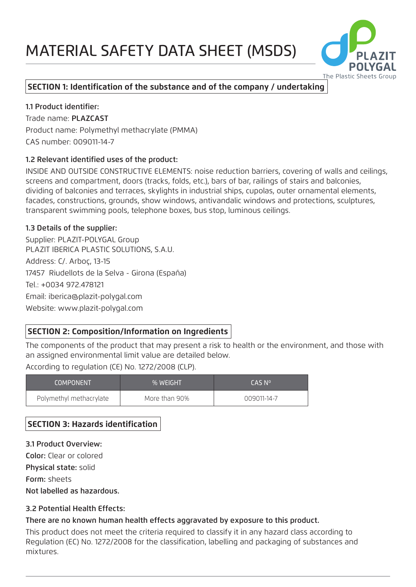# MATERIAL SAFETY DATA SHEET (MSDS)



## **SECTION 1: Identification of the substance and of the company / undertaking**

1.1 Product identifier: Trade name: PLAZCAST Product name: Polymethyl methacrylate (PMMA) CAS number: 009011-14-7

#### 1.2 Relevant identified uses of the product:

INSIDE AND OUTSIDE CONSTRUCTIVE ELEMENTS: noise reduction barriers, covering of walls and ceilings, screens and compartment, doors (tracks, folds, etc.), bars of bar, railings of stairs and balconies, dividing of balconies and terraces, skylights in industrial ships, cupolas, outer ornamental elements, facades, constructions, grounds, show windows, antivandalic windows and protections, sculptures, transparent swimming pools, telephone boxes, bus stop, luminous ceilings.

#### 1.3 Details of the supplier:

Supplier: PLAZIT-POLYGAL Group PLAZIT IBERICA PLASTIC SOLUTIONS, S.A.U. Address: C/. Arboç, 13-15 17457 Riudellots de la Selva - Girona (España) Tel.: +0034 972.478121 Email: iberica@plazit-polygal.com Website: www.plazit-polygal.com

## **SECTION 2: Composition/Information on Ingredients**

The components of the product that may present a risk to health or the environment, and those with an assigned environmental limit value are detailed below.

According to regulation (CE) No. 1272/2008 (CLP).

| <b>COMPONENT</b>        | % WEIGHT      | CAS Nº      |
|-------------------------|---------------|-------------|
| Polymethyl methacrylate | More than 90% | 009011-14-7 |

## **SECTION 3: Hazards identification**

3.1 Product Overview: Color: Clear or colored Physical state: solid Form: sheets Not labelled as hazardous.

## 3.2 Potential Health Effects:

## There are no known human health effects aggravated by exposure to this product.

This product does not meet the criteria required to classify it in any hazard class according to Regulation (EC) No. 1272/2008 for the classification, labelling and packaging of substances and mixtures.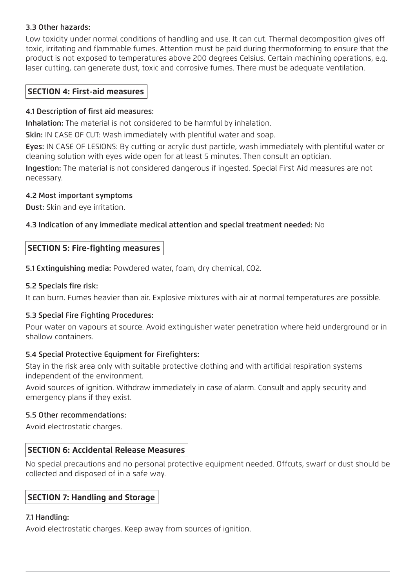## 3.3 Other hazards:

Low toxicity under normal conditions of handling and use. It can cut. Thermal decomposition gives off toxic, irritating and flammable fumes. Attention must be paid during thermoforming to ensure that the product is not exposed to temperatures above 200 degrees Celsius. Certain machining operations, e.g. laser cutting, can generate dust, toxic and corrosive fumes. There must be adequate ventilation.

## **SECTION 4: First-aid measures**

#### 4.1 Description of first aid measures:

Inhalation: The material is not considered to be harmful by inhalation.

Skin: IN CASE OF CUT: Wash immediately with plentiful water and soap.

Eyes: IN CASE OF LESIONS: By cutting or acrylic dust particle, wash immediately with plentiful water or cleaning solution with eyes wide open for at least 5 minutes. Then consult an optician.

Ingestion: The material is not considered dangerous if ingested. Special First Aid measures are not necessary.

#### 4.2 Most important symptoms

Dust: Skin and eye irritation.

## 4.3 Indication of any immediate medical attention and special treatment needed: No

## **SECTION 5: Fire-fighting measures**

5.1 Extinguishing media: Powdered water, foam, dry chemical, CO2.

## 5.2 Specials fire risk:

It can burn. Fumes heavier than air. Explosive mixtures with air at normal temperatures are possible.

## 5.3 Special Fire Fighting Procedures:

Pour water on vapours at source. Avoid extinguisher water penetration where held underground or in shallow containers.

#### 5.4 Special Protective Equipment for Firefighters:

Stay in the risk area only with suitable protective clothing and with artificial respiration systems independent of the environment.

Avoid sources of ignition. Withdraw immediately in case of alarm. Consult and apply security and emergency plans if they exist.

#### 5.5 Other recommendations:

Avoid electrostatic charges.

## **SECTION 6: Accidental Release Measures**

No special precautions and no personal protective equipment needed. Offcuts, swarf or dust should be collected and disposed of in a safe way.

## **SECTION 7: Handling and Storage**

## 7.1 Handling:

Avoid electrostatic charges. Keep away from sources of ignition.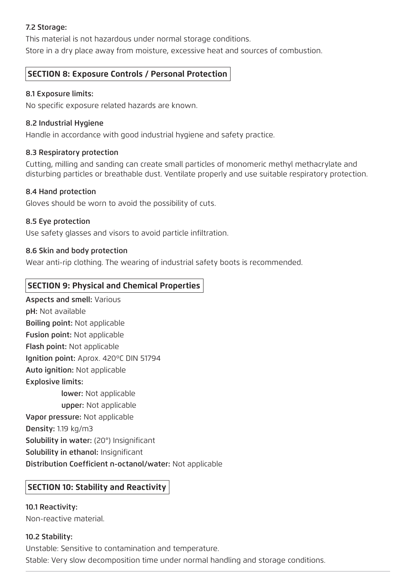## 7.2 Storage:

This material is not hazardous under normal storage conditions.

Store in a dry place away from moisture, excessive heat and sources of combustion.

## **SECTION 8: Exposure Controls / Personal Protection**

## 8.1 Exposure limits:

No specific exposure related hazards are known.

## 8.2 Industrial Hygiene

Handle in accordance with good industrial hygiene and safety practice.

## 8.3 Respiratory protection

Cutting, milling and sanding can create small particles of monomeric methyl methacrylate and disturbing particles or breathable dust. Ventilate properly and use suitable respiratory protection.

## 8.4 Hand protection

Gloves should be worn to avoid the possibility of cuts.

## 8.5 Eye protection

Use safety glasses and visors to avoid particle infiltration.

## 8.6 Skin and body protection

Wear anti-rip clothing. The wearing of industrial safety boots is recommended.

## **SECTION 9: Physical and Chemical Properties**

Aspects and smell: Various pH: Not available Boiling point: Not applicable Fusion point: Not applicable Flash point: Not applicable Ignition point: Aprox. 420ºC DIN 51794 Auto ignition: Not applicable Explosive limits: lower: Not applicable upper: Not applicable Vapor pressure: Not applicable Density: 1.19 kg/m3 Solubility in water: (20°) Insignificant Solubility in ethanol: Insignificant Distribution Coefficient n-octanol/water: Not applicable

## **SECTION 10: Stability and Reactivity**

10.1 Reactivity: Non-reactive material.

## 10.2 Stability:

Unstable: Sensitive to contamination and temperature. Stable: Very slow decomposition time under normal handling and storage conditions.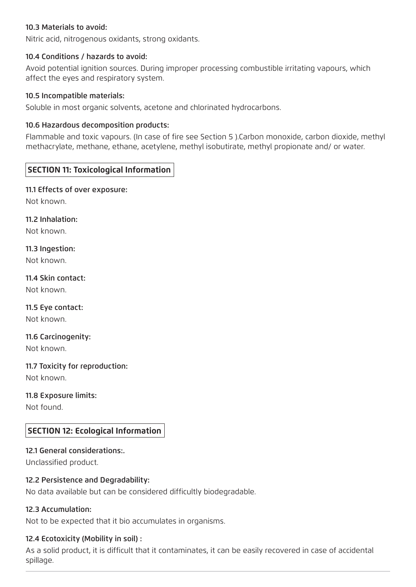#### 10.3 Materials to avoid:

Nitric acid, nitrogenous oxidants, strong oxidants.

#### 10.4 Conditions / hazards to avoid:

Avoid potential ignition sources. During improper processing combustible irritating vapours, which affect the eyes and respiratory system.

#### 10.5 Incompatible materials:

Soluble in most organic solvents, acetone and chlorinated hydrocarbons.

#### 10.6 Hazardous decomposition products:

Flammable and toxic vapours. (In case of fire see Section 5 ).Carbon monoxide, carbon dioxide, methyl methacrylate, methane, ethane, acetylene, methyl isobutirate, methyl propionate and/ or water.

## **SECTION 11: Toxicological Information**

#### 11.1 Effects of over exposure:

Not known.

#### 11.2 Inhalation:

Not known.

## 11.3 Ingestion:

Not known.

## 11.4 Skin contact:

Not known.

## 11.5 Eye contact:

Not known.

#### 11.6 Carcinogenity: Not known.

11.7 Toxicity for reproduction: Not known.

## 11.8 Exposure limits:

Not found.

## **SECTION 12: Ecological Information**

#### 12.1 General considerations:.

Unclassified product.

#### 12.2 Persistence and Degradability:

No data available but can be considered difficultly biodegradable.

#### 12.3 Accumulation:

Not to be expected that it bio accumulates in organisms.

#### 12.4 Ecotoxicity (Mobility in soil) :

As a solid product, it is difficult that it contaminates, it can be easily recovered in case of accidental spillage.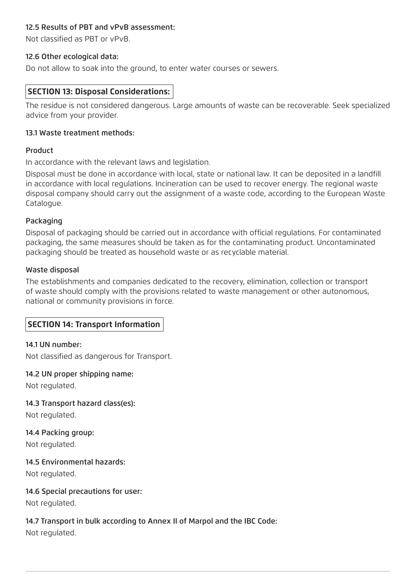## 12.5 Results of PBT and vPvB assessment:

Not classified as PBT or vPvB.

#### 12.6 Other ecological data:

Do not allow to soak into the ground, to enter water courses or sewers.

## **SECTION 13: Disposal Considerations:**

The residue is not considered dangerous. Large amounts of waste can be recoverable. Seek specialized advice from your provider.

#### 13.1 Waste treatment methods:

#### Product

In accordance with the relevant laws and legislation.

Disposal must be done in accordance with local, state or national law. It can be deposited in a landfill in accordance with local regulations. Incineration can be used to recover energy. The regional waste disposal company should carry out the assignment of a waste code, according to the European Waste Catalogue.

#### Packaging

Disposal of packaging should be carried out in accordance with official regulations. For contaminated packaging, the same measures should be taken as for the contaminating product. Uncontaminated packaging should be treated as household waste or as recyclable material.

#### Waste disposal

The establishments and companies dedicated to the recovery, elimination, collection or transport of waste should comply with the provisions related to waste management or other autonomous, national or community provisions in force.

## **SECTION 14: Transport Information**

#### 14.1 UN number:

Not classified as dangerous for Transport.

#### 14.2 UN proper shipping name:

Not regulated.

#### 14.3 Transport hazard class(es):

Not regulated.

## 14.4 Packing group:

Not regulated.

#### 14.5 Environmental hazards:

Not regulated.

#### 14.6 Special precautions for user:

Not regulated.

## 14.7 Transport in bulk according to Annex II of Marpol and the IBC Code:

Not regulated.